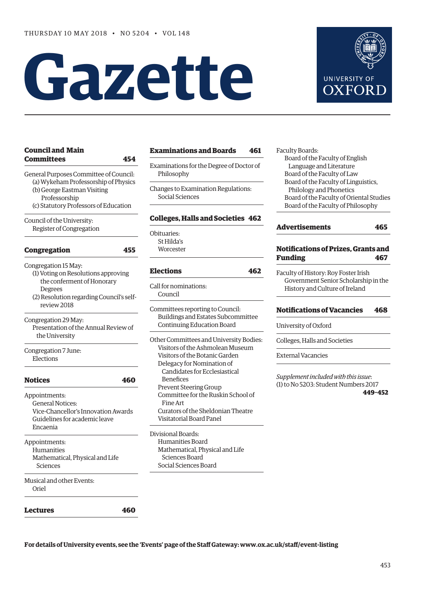# **Gazette**



| <b>Council and Main</b><br>Committees                                                                                                                                   | 454 |
|-------------------------------------------------------------------------------------------------------------------------------------------------------------------------|-----|
| General Purposes Committee of Council:<br>(a) Wykeham Professorship of Physics<br>(b) George Eastman Visiting<br>Professorship<br>(c) Statutory Professors of Education |     |
| Council of the University:<br>Register of Congregation                                                                                                                  |     |
| <b>Congregation</b>                                                                                                                                                     | 455 |
| Congregation 15 May:<br>(1) Voting on Resolutions approving<br>the conferment of Honorary<br>Degrees<br>(2) Resolution regarding Council's self-<br>review 2018         |     |
| Congregation 29 May:<br>Presentation of the Annual Review of<br>the University                                                                                          |     |
| Congregation 7 June:<br>Elections                                                                                                                                       |     |
| <b>Notices</b>                                                                                                                                                          | 460 |
| Appointments:<br><b>General Notices:</b><br>Vice-Chancellor's Innovation Awards<br>Guidelines for academic leave<br>Encaenia                                            |     |
| Appointments:<br>Humanities<br>Mathematical, Physical and Life<br>Sciences                                                                                              |     |
| Musical and other Events:<br>Oriel                                                                                                                                      |     |
| Lectures                                                                                                                                                                | 460 |

# **[Examinations and Boards 461](#page-8-0)**

Examinations for the Degree of Doctor of Philosophy

hanges to Examination Regulations: Social Sciences

# **[Colleges, Halls and Societies 462](#page-9-0)**

bituaries: St Hilda's Worcester

# **[Elections 462](#page-9-0)**

all for nominations: Council

Committees reporting to Council: Buildings and Estates Subcommittee Continuing Education Board

Other Committees and University Bodies: Visitors of the Ashmolean Museum Visitors of the Botanic Garden Delegacy for Nomination of Candidates for Ecclesiastical **Benefices** Prevent Steering Group Committee for the Ruskin School of Fine Art Curators of the Sheldonian Theatre Visitatorial Board Panel

Divisional Boards: Humanities Board Mathematical, Physical and Life Sciences Board Social Sciences Board

Faculty Boards:

Board of the Faculty of English Language and Literature Board of the Faculty of Law Board of the Faculty of Linguistics, Philology and Phonetics Board of the Faculty of Oriental Studies Board of the Faculty of Philosophy

# **[Advertisements 465](#page-12-0)**

# **[Notifcations of Prizes, Grants and](#page-14-0)  Funding 467**

Faculty of History: Roy Foster Irish Government Senior Scholarship in the History and Culture of Ireland

# **[Notifcations of Vacancies 468](#page-15-0)**

University of Oxford

Colleges, Halls and Societies

External Vacancies

*Supplement included with this issue*: (1) to No 5203: Student Numbers 2017 **449–452** 

**For details of University events, see the 'Events' page of the Staf Gateway: [www.ox.ac.uk/staf/event-listing](http://www.ox.ac.uk/staff/event-listing)**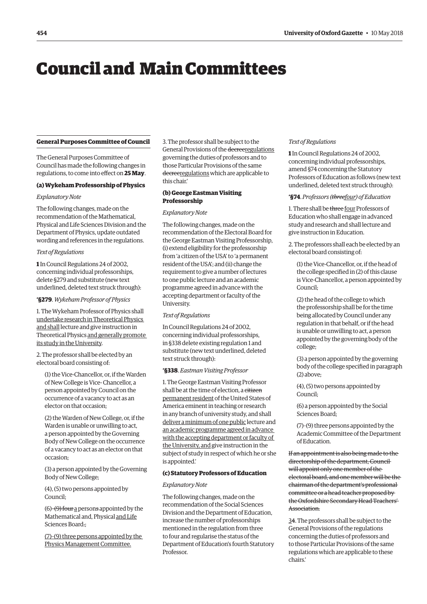# <span id="page-1-0"></span>Council and Main Committees

#### **General Purposes Committee of Council**

The General Purposes Committee of Council has made the following changes in regulations, to come into efect on **25 May**.

#### **(a) Wykeham Professorship of Physics**

#### *Explanatory Note*

The following changes, made on the recommendation of the Mathematical, Physical and Life Sciences Division and the Department of Physics, update outdated wording and references in the regulations.

#### *Text of Regulations*

**1** In Council Regulations 24 of 2002, concerning individual professorships, delete §279 and substitute (new text underlined, deleted text struck through):

#### **'§279**. *Wykeham Professor of Physics*

1. The Wykeham Professor of Physics shall undertake research in Theoretical Physics and shall lecture and give instruction in Theoretical Physics and generally promote its study in the University.

2. The professor shall be elected by an electoral board consisting of:

(1) the Vice-Chancellor, or, if the Warden of New College is Vice- Chancellor, a person appointed by Council on the occurrence of a vacancy to act as an elector on that occasion;

(2) the Warden of New College, or, if the Warden is unable or unwilling to act, a person appointed by the Governing Body of New College on the occurrence of a vacancy to act as an elector on that occasion;

(3) a person appointed by the Governing Body of New College;

(4), (5) two persons appointed by Council;

(6)–(9) four a persons appointed by the Mathematical and, Physical and Life Sciences Board.;

(7)–(9) three persons appointed by the Physics Management Committee.

3. The professor shall be subject to the General Provisions of the decreeregulations governing the duties of professors and to those Particular Provisions of the same decreeregulations which are applicable to this chair.'

# **(b) George Eastman Visiting Professorship**

#### *Explanatory Note*

The following changes, made on the recommendation of the Electoral Board for the George Eastman Visiting Professorship, (i) extend eligibility for the professorship from 'a citizen of the USA' to 'a permanent resident of the USA'; and (ii) change the requirement to give a number of lectures to one public lecture and an academic programme agreed in advance with the accepting department or faculty of the University.

#### *Text of Regulations*

In Council Regulations 24 of 2002, concerning individual professorships, in §338 delete existing regulation 1 and substitute (new text underlined, deleted text struck through):

#### **'§338**. *Eastman Visiting Professor*

1. The George Eastman Visiting Professor shall be at the time of election, a citizen permanent resident of the United States of America eminent in teaching or research in any branch of university study, and shall deliver a minimum of one public lecture and an academic programme agreed in advance with the accepting department or faculty of the University, and give instruction in the subject of study in respect of which he or she is appointed.'

#### **(c) Statutory Professors of Education**

#### *Explanatory Note*

The following changes, made on the recommendation of the Social Sciences Division and the Department of Education, increase the number of professorships mentioned in the regulation from three to four and regularise the status of the Department of Education's fourth Statutory Professor.

# *Text of Regulations*

**1** In Council Regulations 24 of 2002, concerning individual professorships, amend §74 concerning the Statutory Professors of Education as follows (new text underlined, deleted text struck through):

#### **'§74**. *Professors (threefour) of Education*

1. There shall be three four Professors of Education who shall engage in advanced study and research and shall lecture and give instruction in Education.

2. The professors shall each be elected by an electoral board consisting of:

(1) the Vice-Chancellor, or, if the head of the college specifed in (2) of this clause is Vice-Chancellor, a person appointed by Council;

(2) the head of the college to which the professorship shall be for the time being allocated by Council under any regulation in that behalf, or if the head is unable or unwilling to act, a person appointed by the governing body of the college;

(3) a person appointed by the governing body of the college specifed in paragraph (2) above;

(4), (5) two persons appointed by Council;

(6) a person appointed by the Social Sciences Board;

(7)–(9) three persons appointed by the Academic Committee of the Department of Education.

If an appointment is also being made to the directorship of the department, Council will appoint only one member of the electoral board, and one member will be the chairman of the department's professional committee or a head teacher proposed by the Oxfordshire Secondary Head Teachers' Association.

34. The professors shall be subject to the General Provisions of the regulations concerning the duties of professors and to those Particular Provisions of the same regulations which are applicable to these chairs.'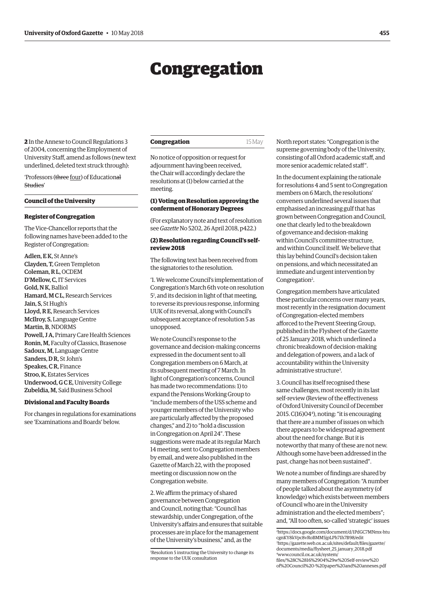# Congregation

<span id="page-2-0"></span>**2** In the Annexe to Council Regulations 3 of 2004, concerning the Employment of University Staf, amend as follows (new text underlined, deleted text struck through):

'Professors (three four) of Educational Studies'

# **Council of the University**

## **Register of Congregation**

The Vice-Chancellor reports that the following names have been added to the Register of Congregation:

Adlen, E K, St Anne's Clayden, T, Green Templeton Coleman, R L, OCDEM D'Mellow, C, IT Services Gold, N K, Balliol Hamard, M C L, Research Services Jain, S, St Hugh's Lloyd, R E, Research Services McIlroy, S, Language Centre Martin, B, NDORMS Powell, J A, Primary Care Health Sciences Ronin, M, Faculty of Classics, Brasenose Sadoux, M, Language Centre Sanders, D R, St John's Speakes, C R, Finance Stroo, K, Estates Services Underwood, G C E, University College Zubeldia, M, Saïd Business School

#### **Divisional and Faculty Boards**

For changes in regulations for examinations see 'Examinations and Boards' below.

| 15 May |
|--------|
|        |

No notice of opposition or request for adjournment having been received, the Chair will accordingly declare the resolutions at (1) below carried at the meeting.

### **(1) Voting on Resolution approving the conferment of Honorary Degrees**

(For explanatory note and text of resolution see *Gazette* No 5202, 26 April 2018, p422.)

# **(2) Resolution regarding Council's selfreview 2018**

The following text has been received from the signatories to the resolution.

'1. We welcome Council's implementation of Congregation's March 6th vote on resolution 51 , and its decision in light of that meeting, to reverse its previous response, informing UUK of its reversal, along with Council's subsequent acceptance of resolution 5 as unopposed.

We note Council's response to the governance and decision-making concerns expressed in the document sent to all Congregation members on 6 March, at its subsequent meeting of 7 March. In light of Congregation's concerns, Council has made two recommendations: 1) to expand the Pensions Working Group to "include members of the USS scheme and younger members of the University who are particularly afected by the proposed changes," and 2) to "hold a discussion in Congregation on April 24". These suggestions were made at its regular March 14 meeting, sent to Congregation members by email, and were also published in the Gazette of March 22, with the proposed meeting or discussion now on the Congregation website.

2. We affirm the primacy of shared governance between Congregation and Council, noting that: "Council has stewardship, under Congregation, of the University's affairs and ensures that suitable processes are in place for the management of the University's business," and, as the

North report states: "Congregation is the supreme governing body of the University, consisting of all Oxford academic staf, and more senior academic related staf".

In the document explaining the rationale for resolutions 4 and 5 sent to Congregation members on 6 March, the resolutions' conveners underlined several issues that emphasised an increasing gulf that has grown between Congregation and Council, one that clearly led to the breakdown of governance and decision-making within Council's committee structure, and within Council itself. We believe that this lay behind Council's decision taken on pensions, and which necessitated an immediate and urgent intervention by Congregation<sup>2</sup>.

Congregation members have articulated these particular concerns over many years, most recently in the resignation document of Congregation-elected members aforced to the Prevent Steering Group, published in the Flysheet of the Gazette of 25 January 2018, which underlined a chronic breakdown of decision-making and delegation of powers, and a lack of accountability within the University administrative structure<sup>3</sup>.

3. Council has itself recognised these same challenges, most recently in its last self-review (Review of the effectiveness of Oxford University Council of December 2015. C(16)044 ), noting: "it is encouraging that there are a number of issues on which there appears to be widespread agreement about the need for change. But it is noteworthy that many of these are not new. Although some have been addressed in the past, change has not been sustained".

We note a number of findings are shared by many members of Congregation: "A number of people talked about the asymmetry (of knowledge) which exists between members of Council who are in the University administration and the elected members"; and, "All too often, so-called 'strategic' issues

[of%20Council%20-%20paper%20and%20annexes.pdf](https://www.council.ox.ac.uk/system/files/%28C%2816%2904%29w%20Self-review%20of%20Council%20-%20paper%20and%20annexes.pdf) 

<sup>1</sup> Resolution 5 instructing the University to change its response to the UUK consultation

<sup>2</sup> [https://docs.google.com/document/d/1PdGC7MNmx-htu](https://docs.google.com/document/d/1PdGC7MNmx-htucgnKY8kVpc8vRoBMM5jpLPh71h7B98/edit)  cgnKY8kVpc8vRoBMM5jpLPh71h7B98/edit 3 [https://gazette.web.ox.ac.uk/sites/default/fles/gazette/](https://gazette.web.ox.ac.uk/sites/default/files/gazette/documents/media/flysheet_25_january_2018.pdf)  documents/media/fysheet\_25\_january\_2018.pdf 4 www.council.ox.ac.uk/system/ fles/%28C%2816%2904%29w%20Self-review%20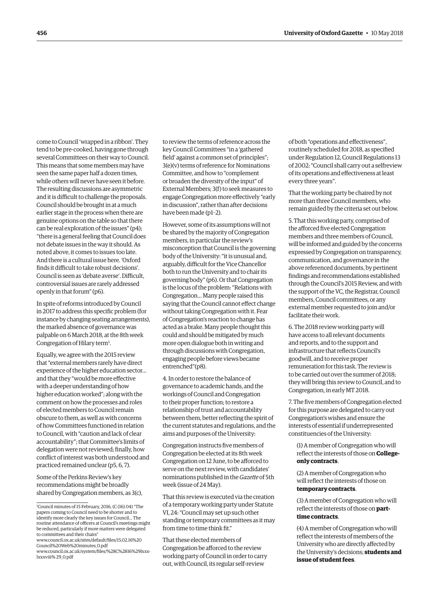come to Council 'wrapped in a ribbon'. They tend to be pre-cooked, having gone through several Committees on their way to Council. This means that some members may have seen the same paper half a dozen times, while others will never have seen it before. The resulting discussions are asymmetric and it is difficult to challenge the proposals. Council should be brought in at a much earlier stage in the process when there are genuine options on the table so that there can be real exploration of the issues" (p4); "there is a general feeling that Council does not debate issues in the way it should. As noted above, it comes to issues too late. And there is a cultural issue here. 'Oxford finds it difficult to take robust decisions'. Council is seen as 'debate averse'. Difficult, controversial issues are rarely addressed openly in that forum" (p6).

In spite of reforms introduced by Council in 2017 to address this specifc problem (for instance by changing seating arrangements), the marked absence of governance was palpable on 6 March 2018, at the 8th week Congregation of Hilary term<sup>5</sup>.

Equally, we agree with the 2015 review that "external members rarely have direct experience of the higher education sector… and that they "would be more efective with a deeper understanding of how higher education worked"; along with the comment on how the processes and roles of elected members to Council remain obscure to them, as well as with concerns of how Committees functioned in relation to Council, with "caution and lack of clear accountability"; that Committee's limits of delegation were not reviewed; fnally, how confict of interest was both understood and practiced remained unclear (p5, 6, 7).

Some of the Perkins Review's key recommendations might be broadly shared by Congregation members, as 3(c), to review the terms of reference across the key Council Committees "in a 'gathered feld' against a common set of principles"; 3(e)(v) terms of reference for Nominations Committee, and how to "complement or broaden the diversity of the input" of External Members; 3(f) to seek measures to engage Congregation more efectively "early in discussion", rather than after decisions have been made (p1–2).

However, some of its assumptions will not be shared by the majority of Congregation members, in particular the review's misconception that Council is the governing body of the University: "it is unusual and, arguably, difficult for the Vice Chancellor both to run the University and to chair its governing body" (p6). Or that Congregation is the locus of the problem: "Relations with Congregation… Many people raised this saying that the Council cannot effect change without taking Congregation with it. Fear of Congregation's reaction to change has acted as a brake. Many people thought this could and should be mitigated by much more open dialogue both in writing and through discussions with Congregation, engaging people before views became entrenched"(p8).

4. In order to restore the balance of governance to academic hands, and the workings of Council and Congregation to their proper function; to restore a relationship of trust and accountability between them, better refecting the spirit of the current statutes and regulations, and the aims and purposes of the University:

Congregation instructs fve members of Congregation be elected at its 8th week Congregation on 12 June, to be aforced to serve on the next review, with candidates' nominations published in the *Gazette* of 5th week (issue of 24 May).

That this review is executed via the creation of a temporary working party under Statute VI, 24: "Council may set up such other standing or temporary committees as it may from time to time think fit."

That these elected members of Congregation be afforced to the review working party of Council in order to carry out, with Council, its regular self-review

of both "operations and efectiveness", routinely scheduled for 2018, as specifed under Regulation 12, Council Regulations 13 of 2002: "Council shall carry out a selfreview of its operations and efectiveness at least every three years".

That the working party be chaired by not more than three Council members, who remain guided by the criteria set out below.

5. That this working party, comprised of the aforced fve elected Congregation members and three members of Council, will be informed and guided by the concerns expressed by Congregation on transparency, communication, and governance in the above referenced documents, by pertinent fndings and recommendations established through the Council's 2015 Review, and with the support of the VC, the Registrar, Council members, Council committees, or any external member requested to join and/or facilitate their work.

6. The 2018 review working party will have access to all relevant documents and reports, and to the support and infrastructure that refects Council's goodwill, and to receive proper remuneration for this task. The review is to be carried out over the summer of 2018; they will bring this review to Council, and to Congregation, in early MT 2018.

7. The five members of Congregation elected for this purpose are delegated to carry out Congregation's wishes and ensure the interests of essential if underrepresented constituencies of the University:

(1) A member of Congregation who will refect the interests of those on **Collegeonly contracts**.

(2) A member of Congregation who will refect the interests of those on **temporary contracts**.

(3) A member of Congregation who will refect the interests of those on **parttime contracts**.

(4) A member of Congregation who will refect the interests of members of the University who are directly afected by the University's decisions; **students and issue of student fees**.

<sup>5</sup> Council minutes of 15 February, 2016, (C (16) 04) "The papers coming to Council need to be shorter and to identify more clearly the key issues for Council… The routine attendance of officers at Council's meetings might be reduced, particularly if more matters were delegated to committees and their chairs"

[www.council.ox.ac.uk/sites/default/fles/15.02.16%20](www.council.ox.ac.uk/sites/default/files/15.02.16%20Council%20Web%20minutes_0.pdf)  Council%20Web%20minutes\_0.pdf

[www.council.ox.ac.uk/system/fles/%28C%2816%29lxxx](https://www.council.ox.ac.uk/system/files/%28C%2816%29117w%29.pdf)lxxxviii% 29\_0.pdf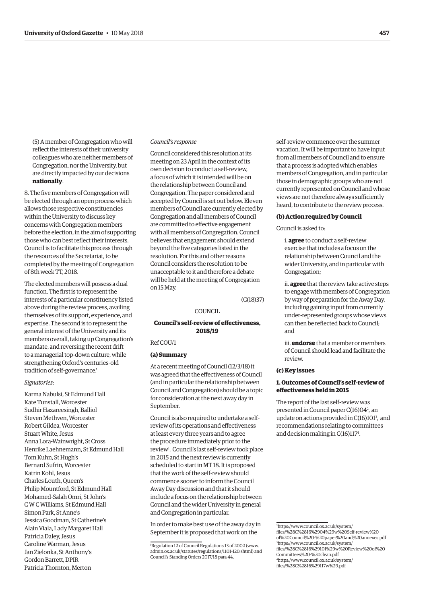(5) A member of Congregation who will refect the interests of their university colleagues who are neither members of Congregation, nor the University, but are directly impacted by our decisions **nationally**.

8. The fve members of Congregation will be elected through an open process which allows those respective constituencies within the University to discuss key concerns with Congregation members before the election, in the aim of supporting those who can best refect their interests. Council is to facilitate this process through the resources of the Secretariat, to be completed by the meeting of Congregation of 8th week TT, 2018.

The elected members will possess a dual function. The frst is to represent the interests of a particular constituency listed above during the review process, availing themselves of its support, experience, and expertise. The second is to represent the general interest of the University and its members overall, taking up Congregation's mandate, and reversing the recent drift to a managerial top-down culture, while strengthening Oxford's centuries-old tradition of self-governance.'

#### *Signatories*:

Karma Nabulsi, St Edmund Hall Kate Tunstall, Worcester Sudhir Hazareesingh, Balliol Steven Methven, Worcester Robert Gildea, Worcester Stuart White, Jesus Anna Lora-Wainwright, St Cross Henrike Laehnemann, St Edmund Hall Tom Kuhn, St Hugh's Bernard Sufrin, Worcester Katrin Kohl, Jesus Charles Louth, Queen's Philip Mountford, St Edmund Hall Mohamed-Salah Omri, St John's C W C Williams, St Edmund Hall Simon Park, St Anne's Jessica Goodman, St Catherine's Alain Viala, Lady Margaret Hall Patricia Daley, Jesus Caroline Warman, Jesus Jan Zielonka, St Anthony's Gordon Barrett, DPIR Patricia Thornton, Merton

## *Council's response*

Council considered this resolution at its meeting on 23 April in the context of its own decision to conduct a self-review, a focus of which it is intended will be on the relationship between Council and Congregation. The paper considered and accepted by Council is set out below. Eleven members of Council are currently elected by Congregation and all members of Council are committed to efective engagement with all members of Congregation. Council believes that engagement should extend beyond the fve categories listed in the resolution. For this and other reasons Council considers the resolution to be unacceptable to it and therefore a debate will be held at the meeting of Congregation on 15 May.

#### (C(18)37)

COUNCIL.

# **Council's self-review of efectiveness, 2018/19**

Ref COU/1

#### **(a) Summary**

At a recent meeting of Council (12/3/18) it was agreed that the efectiveness of Council (and in particular the relationship between Council and Congregation) should be a topic for consideration at the next away day in September.

Council is also required to undertake a selfreview of its operations and efectiveness at least every three years and to agree the procedure immediately prior to the review<sup>1</sup>. Council's last self-review took place in 2015 and the next review is currently scheduled to start in MT 18. It is proposed that the work of the self-review should commence sooner to inform the Council Away Day discussion and that it should include a focus on the relationship between Council and the wider University in general and Congregation in particular.

In order to make best use of the away day in September it is proposed that work on the

self-review commence over the summer vacation. It will be important to have input from all members of Council and to ensure that a process is adopted which enables members of Congregation, and in particular those in demographic groups who are not currently represented on Council and whose views are not therefore always sufficiently heard, to contribute to the review process.

#### **(b) Action required by Council**

Council is asked to:

i. **agree** to conduct a self-review exercise that includes a focus on the relationship between Council and the wider University, and in particular with Congregation;

ii. **agree** that the review take active steps to engage with members of Congregation by way of preparation for the Away Day, including gaining input from currently under-represented groups whose views can then be refected back to Council; and

iii. **endorse** that a member or members of Council should lead and facilitate the review.

#### **(c) Key issues**

# **1. Outcomes of Council's self-review of efectiveness held in 2015**

The report of the last self-review was presented in Council paper C(16)04<sup>2</sup>, an update on actions provided in C(16)101<sup>3</sup>, and recommendations relating to committees and decision making in C(16)1174 . 9

<sup>1</sup> Regulation 12 of Council Regulations 13 of 2002 (www. [admin.ox.ac.uk/statutes/regulations/1101-120.shtml\) and](www.admin.ox.ac.uk/statutes/regulations/1101-120.shtml)  Council's Standing Orders 2017/18 para 44.

<sup>2</sup> https://www.council.ox.ac.uk/system/ [fles/%28C%2816%2904%29w%20Self-review%20](https://www.council.ox.ac.uk/system/files/%28C%2816%2904%29w%20Self-review%20of%20Council%20-%20paper%20and%20annexes.pdf)  of%20Council%20-%20paper%20and%20annexes.pdf 3 https://www.council.ox.ac.uk/system/ [fles/%28C%2816%29101%29w%20Review%20of%20](https://www.council.ox.ac.uk/system/files/%28C%2816%29101%29w%20Review%20of%20Committees%20-%20clean.pdf)  Committees%20-%20clean.pdf 4 [https://www.council.ox.ac.uk/system/](https://www.council.ox.ac.uk/system/files/%28C%2816%29117w%29.pdf)  fles/%28C%2816%29117w%29.pdf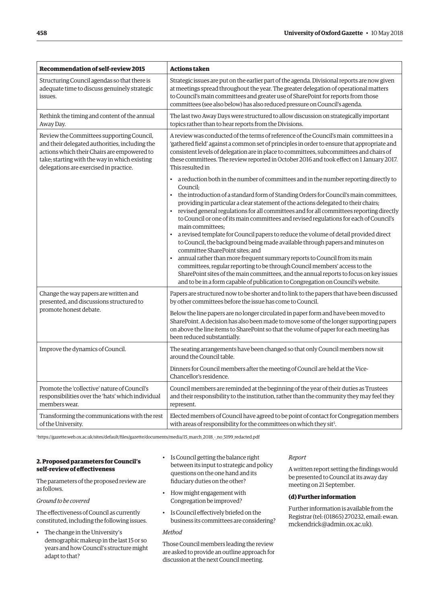| Recommendation of self-review 2015                                                                                                                                                                                                    | <b>Actions taken</b>                                                                                                                                                                                                                                                                                                                                                                                                                                                                                                                                                                                                                                                                                                                                                                                                                                                                                                                                                                                                                            |
|---------------------------------------------------------------------------------------------------------------------------------------------------------------------------------------------------------------------------------------|-------------------------------------------------------------------------------------------------------------------------------------------------------------------------------------------------------------------------------------------------------------------------------------------------------------------------------------------------------------------------------------------------------------------------------------------------------------------------------------------------------------------------------------------------------------------------------------------------------------------------------------------------------------------------------------------------------------------------------------------------------------------------------------------------------------------------------------------------------------------------------------------------------------------------------------------------------------------------------------------------------------------------------------------------|
| Structuring Council agendas so that there is<br>adequate time to discuss genuinely strategic<br>issues.                                                                                                                               | Strategic issues are put on the earlier part of the agenda. Divisional reports are now given<br>at meetings spread throughout the year. The greater delegation of operational matters<br>to Council's main committees and greater use of SharePoint for reports from those<br>committees (see also below) has also reduced pressure on Council's agenda.                                                                                                                                                                                                                                                                                                                                                                                                                                                                                                                                                                                                                                                                                        |
| Rethink the timing and content of the annual<br>Away Day.                                                                                                                                                                             | The last two Away Days were structured to allow discussion on strategically important<br>topics rather than to hear reports from the Divisions.                                                                                                                                                                                                                                                                                                                                                                                                                                                                                                                                                                                                                                                                                                                                                                                                                                                                                                 |
| Review the Committees supporting Council,<br>and their delegated authorities, including the<br>actions which their Chairs are empowered to<br>take; starting with the way in which existing<br>delegations are exercised in practice. | A review was conducted of the terms of reference of the Council's main committees in a<br>'gathered field' against a common set of principles in order to ensure that appropriate and<br>consistent levels of delegation are in place to committees, subcommittees and chairs of<br>these committees. The review reported in October 2016 and took effect on 1 January 2017.<br>This resulted in                                                                                                                                                                                                                                                                                                                                                                                                                                                                                                                                                                                                                                                |
|                                                                                                                                                                                                                                       | a reduction both in the number of committees and in the number reporting directly to<br>Council:<br>the introduction of a standard form of Standing Orders for Council's main committees,<br>providing in particular a clear statement of the actions delegated to their chairs;<br>revised general regulations for all committees and for all committees reporting directly<br>to Council or one of its main committees and revised regulations for each of Council's<br>main committees;<br>a revised template for Council papers to reduce the volume of detail provided direct<br>to Council, the background being made available through papers and minutes on<br>committee SharePoint sites; and<br>annual rather than more frequent summary reports to Council from its main<br>committees, regular reporting to be through Council members' access to the<br>SharePoint sites of the main committees, and the annual reports to focus on key issues<br>and to be in a form capable of publication to Congregation on Council's website. |
| Change the way papers are written and<br>presented, and discussions structured to<br>promote honest debate.                                                                                                                           | Papers are structured now to be shorter and to link to the papers that have been discussed<br>by other committees before the issue has come to Council.<br>Below the line papers are no longer circulated in paper form and have been moved to<br>SharePoint. A decision has also been made to move some of the longer supporting papers<br>on above the line items to SharePoint so that the volume of paper for each meeting has<br>been reduced substantially.                                                                                                                                                                                                                                                                                                                                                                                                                                                                                                                                                                               |
| Improve the dynamics of Council.                                                                                                                                                                                                      | The seating arrangements have been changed so that only Council members now sit<br>around the Council table.<br>Dinners for Council members after the meeting of Council are held at the Vice-<br>Chancellor's residence.                                                                                                                                                                                                                                                                                                                                                                                                                                                                                                                                                                                                                                                                                                                                                                                                                       |
| Promote the 'collective' nature of Council's<br>responsibilities over the 'hats' which individual<br>members wear.                                                                                                                    | Council members are reminded at the beginning of the year of their duties as Trustees<br>and their responsibility to the institution, rather than the community they may feel they<br>represent.                                                                                                                                                                                                                                                                                                                                                                                                                                                                                                                                                                                                                                                                                                                                                                                                                                                |
| Transforming the communications with the rest<br>of the University.                                                                                                                                                                   | Elected members of Council have agreed to be point of contact for Congregation members<br>with areas of responsibility for the committees on which they sit <sup>5</sup> .                                                                                                                                                                                                                                                                                                                                                                                                                                                                                                                                                                                                                                                                                                                                                                                                                                                                      |

5 [https://gazette.web.ox.ac.uk/sites/default/fles/gazette/documents/media/15\\_march\\_2018\\_-\\_no\\_5199\\_redacted.pdf](https://gazette.web.ox.ac.uk/sites/default/files/gazette/documents/media/15_march_2018_-_no_5199_redacted.pdf) 

# **2. Proposed parameters for Council's self-review of efectiveness**

The parameters of the proposed review are as follows.

#### *Ground to be covered*

The efectiveness of Council as currently constituted, including the following issues.

- The change in the University's demographic makeup in the last 15 or so years and how Council's structure might adapt to that?
- Is Council getting the balance right between its input to strategic and policy questions on the one hand and its fduciary duties on the other?
- How might engagement with Congregation be improved?
- Is Council efectively briefed on the business its committees are considering?

# *Method*

Those Council members leading the review are asked to provide an outline approach for discussion at the next Council meeting.

#### *Report*

A written report setting the fndings would be presented to Council at its away day meeting on 21 September.

# **(d) Further information**

Further information is available from the [Registrar \(tel: \(01865\) 270232, email: ewan.](mailto:ewan.mckendrick@admin.ox.ac.uk)  mckendrick@admin.ox.ac.uk).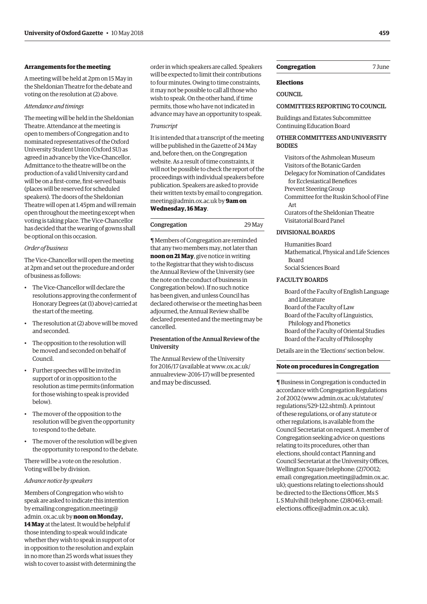# **Arrangements for the meeting**

A meeting will be held at 2pm on 15 May in the Sheldonian Theatre for the debate and voting on the resolution at (2) above.

#### *Attendance and timings*

The meeting will be held in the Sheldonian Theatre. Attendance at the meeting is open to members of Congregation and to nominated representatives of the Oxford University Student Union (Oxford SU) as agreed in advance by the Vice-Chancellor. Admittance to the theatre will be on the production of a valid University card and will be on a first-come, first-served basis (places will be reserved for scheduled speakers). The doors of the Sheldonian Theatre will open at 1.45pm and will remain open throughout the meeting except when voting is taking place. The Vice-Chancellor has decided that the wearing of gowns shall be optional on this occasion.

# *Order of business*

The Vice-Chancellor will open the meeting at 2pm and set out the procedure and order of business as follows:

- The Vice-Chancellor will declare the resolutions approving the conferment of Honorary Degrees (at (1) above) carried at the start of the meeting.
- The resolution at (2) above will be moved and seconded.
- The opposition to the resolution will be moved and seconded on behalf of Council.
- Further speeches will be invited in support of or in opposition to the resolution as time permits (information for those wishing to speak is provided below).
- The mover of the opposition to the resolution will be given the opportunity to respond to the debate.
- The mover of the resolution will be given the opportunity to respond to the debate.

There will be a vote on the resolution . Voting will be by division.

#### *Advance notice by speakers*

Members of Congregation who wish to speak are asked to indicate this intention by emailing congregation.meeting@ admin. ox.ac.uk by **noon on Monday, 14 May** at the latest. It would be helpful if those intending to speak would indicate whether they wish to speak in support of or in opposition to the resolution and explain in no more than 25 words what issues they wish to cover to assist with determining the order in which speakers are called. Speakers will be expected to limit their contributions to four minutes. Owing to time constraints, it may not be possible to call all those who wish to speak. On the other hand, if time permits, those who have not indicated in advance may have an opportunity to speak.

#### *Transcript*

It is intended that a transcript of the meeting will be published in the Gazette of 24 May and, before then, on the Congregation website. As a result of time constraints, it will not be possible to check the report of the proceedings with individual speakers before publication. Speakers are asked to provide [their written texts by email to congregation.](mailto:congregation.meeting@admin.ox.ac.uk)  meeting@admin.ox.ac.uk by **9am on Wednesday, 16 May**.

# Congregation 29 May

¶ Members of Congregation are reminded that any two members may, not later than **noon on 21 May**, give notice in writing to the Registrar that they wish to discuss the Annual Review of the University (see the note on the conduct of business in Congregation below). If no such notice has been given, and unless Council has declared otherwise or the meeting has been adjourned, the Annual Review shall be declared presented and the meeting may be cancelled.

# Presentation of the Annual Review of the University

The Annual Review of the University for 2016/17 (available at www.ox.ac.uk/ [annualreview-2016-17\) will be presented](www.ox.ac.uk/annualreview-2016-17)  and may be discussed.

#### **Congregation** 7 June

# **Elections**

#### **COUNCIL**

## COMMITTEES REPORTING TO COUNCIL

Buildings and Estates Subcommittee Continuing Education Board

# OTHER COMMITTEES AND UNIVERSITY BODIES

Visitors of the Ashmolean Museum Visitors of the Botanic Garden Delegacy for Nomination of Candidates for Ecclesiastical Benefices Prevent Steering Group Committee for the Ruskin School of Fine Art Curators of the Sheldonian Theatre Visitatorial Board Panel

# DIVISIONAL BOARDS

Humanities Board Mathematical, Physical and Life Sciences Board Social Sciences Board

# FACULTY BOARDS

Board of the Faculty of English Language and Literature Board of the Faculty of Law Board of the Faculty of Linguistics, Philology and Phonetics Board of the Faculty of Oriental Studies Board of the Faculty of Philosophy

Details are in the 'Elections' section below.

# **Note on procedures in Congregation**

¶ Business in Congregation is conducted in accordance with Congregation Regulations 2 of 2002 [\(www.admin.ox.ac.uk/statutes/](http://www.admin.ox.ac.uk/statutes/regulations/529-122.shtml)  [regulations/529-122.shtml\). A](http://www.admin.ox.ac.uk/statutes/regulations/529-122.shtml) printout of these regulations, or of any statute or other regulations, is available from the Council Secretariat on request. A member of Congregation seeking advice on questions relating to its procedures, other than elections, should contact Planning and Council Secretariat at the University Offices. Wellington Square (telephone: (2)70012; [email: congregation.meeting@admin.ox.ac.](mailto:congregation.meeting@admin.ox.ac.uk)  uk); questions relating to elections should be directed to the Elections Officer. Ms S L S Mulvihill (telephone: (2)80463; email: elections.office@admin.ox.ac.uk).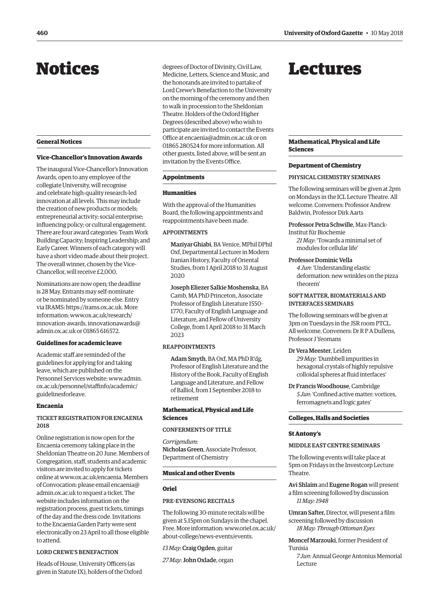# <span id="page-7-0"></span>Notices

#### **General Notices**

# **Vice-Chancellor's Innovation Awards**

The inaugural Vice-Chancellor's Innovation Awards, open to any employee of the collegiate University, will recognise and celebrate high-quality research-led innovation at all levels. This may include the creation of new products or models; entrepreneurial activity; social enterprise; infuencing policy; or cultural engagement. There are four award categories: Team Work Building Capacity; Inspiring Leadership; and Early Career. Winners of each category will have a short video made about their project. The overall winner, chosen by the Vice-Chancellor, will receive £2,000.

Nominations are now open; the deadline is 28 May. Entrants may self-nominate or be nominated by someone else. Entry via IRAMS: [https://irams.ox.ac.uk. M](https://irams.ox.ac.uk)ore informatio[n: www.ox.ac.uk/research/](www.ox.ac.uk/research/innovation-awards)  innovation-awards, [innovationawards@](mailto:innovationawards@admin.ox.ac.uk)  admin.ox.ac.uk or 01865 616572.

# **Guidelines for academic leave**

Academic staff are reminded of the guidelines for applying for and taking leave, which are published on the [Personnel Services website: www.admin.](www.admin.ox.ac.uk/personnel/staffinfo/academic/guidelinesforleave)  ox.ac.uk/personnel/staffinfo/academic/ guidelinesforleave.

#### **Encaenia**

# TICKET REGISTRATION FOR ENCAENIA 2018

Online registration is now open for the Encaenia ceremony taking place in the Sheldonian Theatre on 20 June. Members of Congregation, staff, students and academic visitors are invited to apply for tickets online at [www.ox.ac.uk/encaenia. M](http://www.ox.ac.uk/encaenia)embers [of Convocation: please email encaenia@](mailto:encaenia@admin.ox.ac.uk)  admin.ox.ac.uk to request a ticket. The website includes information on the registration process, guest tickets, timings of the day and the dress code. Invitations to the Encaenia Garden Party were sent electronically on 23 April to all those eligible to attend.

## LORD CREWE'S BENEFACTION

Heads of House, University Officers (as given in Statute IX), holders of the Oxford degrees of Doctor of Divinity, Civil Law, Medicine, Letters, Science and Music, and the honorands are invited to partake of Lord Crewe's Benefaction to the University on the morning of the ceremony and then to walk in procession to the Sheldonian Theatre. Holders of the Oxford Higher Degrees (described above) who wish to participate are invited to contact the Events Office at [encaenia@admin.ox.ac.uk or](mailto:encaenia@admin.ox.ac.uk) on 01865 280524 for more information. All other guests, listed above, will be sent an invitation by the Events Office.

#### **Appointments**

#### **Humanities**

With the approval of the Humanities Board, the following appointments and reappointments have been made.

# APPOINTMENTS

Maziyar Ghiabi, BA Venice, MPhil DPhil Oxf, Departmental Lecturer in Modern Iranian History, Faculty of Oriental Studies, from 1 April 2018 to 31 August 2020

Joseph Eliezer Salkie Moshenska, BA Camb, MA PhD Princeton, Associate Professor of English Literature 1550– 1770, Faculty of English Language and Literature, and Fellow of University College, from 1 April 2018 to 31 March 2023

#### REAPPOINTMENTS

Adam Smyth, BA Oxf, MA PhD R'dg, Professor of English Literature and the History of the Book, Faculty of English Language and Literature, and Fellow of Balliol, from 1 September 2018 to retirement

# **Mathematical, Physical and Life Sciences**

#### CONFERMENTS OF TITLE

*Corrigendum:*  Nicholas Green, Associate Professor, Department of Chemistry

#### **Musical and other Events**

#### **Oriel**

# PRE-EVENSONG RECITALS

The following 30-minute recitals will be given at 5.15pm on Sundays in the chapel. [Free. More information: www.oriel.ox.ac.uk/](www.oriel.ox.ac.uk/about-college/news-events/events)  about-college/news-events/events.

*13 May*: Craig Ogden, guitar

*27 May*: John Oxlade, organ

# Lectures

#### **Mathematical, Physical and Life Sciences**

#### **Department of Chemistry**

# PHYSICAL CHEMISTRY SEMINARS

The following seminars will be given at 2pm on Mondays in the ICL Lecture Theatre. All welcome. Conveners: Professor Andrew Baldwin, Professor Dirk Aarts

#### Professor Petra Schwille, Max-Planck-Institut für Biochemie

*21 May*: 'Towards a minimal set of modules for cellular life'

# Professor Dominic Vella

*4 Jun*: 'Understanding elastic deformation: new wrinkles on the pizza theorem'

# SOFT MATTER, BIOMATERIALS AND INTERFACES SEMINARS

The following seminars will be given at 3pm on Tuesdays in the JSR room PTCL. All welcome. Conveners: Dr R P A Dullens, Professor J Yeomans

# Dr Vera Meester, Leiden

*29 May*: 'Dumbbell impurities in hexagonal crystals of highly repulsive colloidal spheres at fuid interfaces'

Dr Francis Woodhouse, Cambridge *5 Jun*: 'Confned active matter: vortices, ferromagnets and logic gates'

#### **Colleges, Halls and Societies**

## **St Antony's**

## MIDDLE EAST CENTRE SEMINARS

The following events will take place at 5pm on Fridays in the Investcorp Lecture Theatre.

# Avi Shlaim and Eugene Rogan will present a film screening followed by discussion *11 May: 1948*

Umran Safter, Director, will present a flm screening followed by discussion *18 May: Through Ottoman Eyes* 

Moncef Marzouki, former President of Tunisia

*7 Jun*: Annual George Antonius Memorial Lecture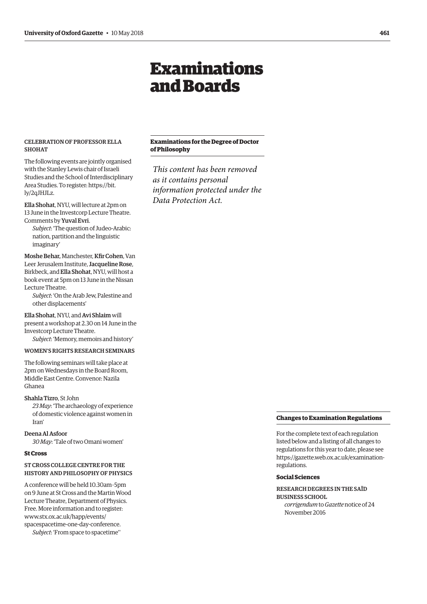# Examinations and Boards

# <span id="page-8-0"></span>CELEBRATION OF PROFESSOR ELLA SHOHAT

The following events are jointly organised with the Stanley Lewis chair of Israeli Studies and the School of Interdisciplinary [Area Studies. To register: https://bit.](https://bit.ly/2qJHJLz)  ly/2qJHJLz.

Ella Shohat, NYU, will lecture at 2pm on 13 June in the Investcorp Lecture Theatre. Comments by Yuval Evri.

*Subject*: 'The question of Judeo-Arabic: nation, partition and the linguistic imaginary'

Moshe Behar, Manchester, Kfir Cohen, Van Leer Jerusalem Institute, Jacqueline Rose, Birkbeck, and Ella Shohat, NYU, will host a book event at 5pm on 13 June in the Nissan Lecture Theatre.

*Subject*: 'On the Arab Jew, Palestine and other displacements'

Ella Shohat, NYU, and Avi Shlaim will present a workshop at 2.30 on 14 June in the Investcorp Lecture Theatre.

*Subject*: 'Memory, memoirs and history'

# WOMEN'S RIGHTS RESEARCH SEMINARS

The following seminars will take place at 2pm on Wednesdays in the Board Room, Middle East Centre. Convenor: Nazila Ghanea

Shahla Tizro, St John

*23 May*: 'The archaeology of experience of domestic violence against women in Iran'

Deena Al Asfoor

*30 May*: 'Tale of two Omani women'

# **St Cross**

ST CROSS COLLEGE CENTRE FOR THE HISTORY AND PHILOSOPHY OF PHYSICS

A conference will be held 10.30am–5pm on 9 June at St Cross and the Martin Wood Lecture Theatre, Department of Physics. Free. More information and to register: [www.stx.ox.ac.uk/happ/events/](http://www.stx.ox.ac.uk/happ/events/)  spacespacetime-one-day-conference.

*Subject*: 'From space to spacetime''

# **Examinations for the Degree of Doctor of Philosophy**

*This content has been removed as it contains personal information protected under the Data Protection Act.*

#### **Changes to Examination Regulations**

For the complete text of each regulation listed below and a listing of all changes to regulations for this year to date, please see [https://gazette.web.ox.ac.uk/examination](https://gazette.web.ox.ac.uk/examination-regulations)regulations.

# **Social Sciences**

RESEARCH DEGREES IN THE SAÏD BUSINESS SCHOOL *corrigendum* to *Gazette* notice of 24 November 2016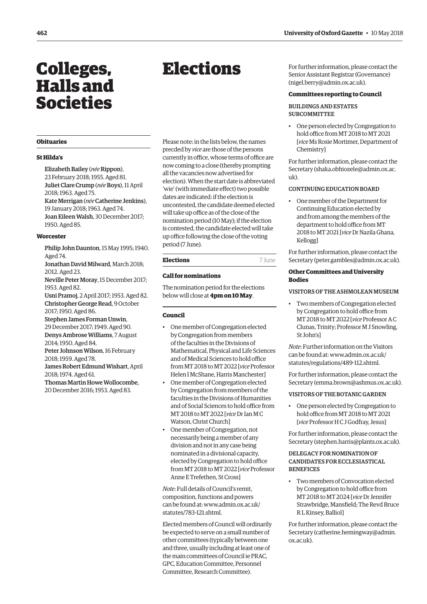# <span id="page-9-0"></span>Colleges, Halls and Societies

#### **Obituaries**

# **St Hilda's**

 $\overline{a}$ Elizabeth Bailey (*née* Rippon), 23 February 2018; 1955. Aged 81. Juliet Clare Crump (*née* Boys), 11 April 2018; 1963. Aged 75. Kate Merrigan (*née* Catherine Jenkins), 19 January 2018; 1963. Aged 74. Joan Eileen Walsh, 30 December 2017; 1950. Aged 85.

#### **Worcester**

Philip John Daunton, 15 May 1995; 1940. Aged 74.

Jonathan David Milward, March 2018; 2012. Aged 23.

Neville Peter Moray, 15 December 2017; 1953. Aged 82.

Usni Pramoj, 2 April 2017; 1953. Aged 82. Christopher George Read, 9 October 2017; 1950. Aged 86.

Stephen James Forman Unwin,

29 December 2017; 1949. Aged 90. Denys Ambrose Williams, 7 August

2014; 1950. Aged 84.

Peter Johnson Wilson, 16 February

2018; 1959. Aged 78. James Robert Edmund Wishart, April

2018; 1974. Aged 61. Thomas Martin Howe Wollocombe,

20 December 2016; 1953. Aged 83.

Please note: in the lists below, the names precded by *vice* are those of the persons

Elections

currently in office, whose terms of office are now coming to a close (thereby prompting all the vacancies now advertised for election). When the start date is abbreviated 'wie' (with immediate effect) two possible dates are indicated: if the election is uncontested, the candidate deemed elected will take up office as of the close of the nomination period (10 May); if the election is contested, the candidate elected will take up office following the close of the voting period (7 June).

#### **Elections** 7 June

# **Call for nominations**

The nomination period for the elections below will close at **4pm on 10 May**.

#### **Council**

- One member of Congregation elected by Congregation from members of the faculties in the Divisions of Mathematical, Physical and Life Sciences and of Medical Sciences to hold office from MT 2018 to MT 2022 [*vice* Professor Helen I McShane, Harris Manchester]
- One member of Congregation elected by Congregation from members of the faculties in the Divisions of Humanities and of Social Sciences to hold office from MT 2018 to MT 2022 [*vice* Dr Ian M C Watson, Christ Church]
- One member of Congregation, not necessarily being a member of any division and not in any case being nominated in a divisional capacity, elected by Congregation to hold office from MT 2018 to MT 2022 [*vice* Professor Anne E Trefethen, St Cross]

*Note*: Full details of Council's remit, composition, functions and powers [can be found at: www.admin.ox.ac.uk/](www.admin.ox.ac.uk/statutes/783-121.shtml)  statutes/783-121.shtml.

Elected members of Council will ordinarily be expected to serve on a small number of other committees (typically between one and three, usually including at least one of the main committees of Council ie PRAC, GPC, Education Committee, Personnel Committee, Research Committee).

For further information, please contact the Senior Assistant Registrar (Governance) [\(nigel.berry@admin.ox.ac.uk\).](mailto:nigel.berry@admin.ox.ac.uk) 

#### **Committees reporting to Council**

# BUILDINGS AND ESTATES **SUBCOMMITTEE**

• One person elected by Congregation to hold office from MT 2018 to MT 2021 [*vice* Ms Rosie Mortimer, Department of Chemistry]

For further information, please contact the Secretary ([shaka.obhiozele@admin.ox.ac.](mailto:shaka.obhiozele@admin.ox.ac.uk)  [uk\).](mailto:shaka.obhiozele@admin.ox.ac.uk) 

## CONTINUING EDUCATION BOARD

• One member of the Department for Continuing Education elected by and from among the members of the department to hold office from MT 2018 to MT 2021 [*vice* Dr Nazila Ghana, Kellogg]

For further information, please contact the Secretary ([peter.gambles@admin.ox.ac.uk\).](mailto:peter.gambles@admin.ox.ac.uk) 

## **Other Committees and University Bodies**

#### VISITORS OF THE ASHMOLEAN MUSEUM

• Two members of Congregation elected by Congregation to hold office from MT 2018 to MT 2022 [*vice* Professor A C Clunas, Trinity; Professor M J Snowling, St John's]

*Note*: Further information on the Visitors [can be found at: www.admin.ox.ac.uk/](www.admin.ox.ac.uk/statutes/regulations/489-112.shtml)  statutes/regulations/489-112.shtml.

For further information, please contact the Secretary ([emma.brown@ashmus.ox.ac.uk\).](mailto:emma.brown@ashmus.ox.ac.uk) 

#### VISITORS OF THE BOTANIC GARDEN

• One person elected by Congregation to hold office from MT 2018 to MT 2021 [*vice* Professor H C J Godfray, Jesus]

For further information, please contact the Secretary ([stephen.harris@plants.ox.ac.uk\).](mailto:stephen.harris@plants.ox.ac.uk) 

# DELEGACY FOR NOMINATION OF CANDIDATES FOR ECCLESIASTICAL **BENEFICES**

• Two members of Convocation elected by Congregation to hold office from MT 2018 to MT 2024 [*vice* Dr Jennifer Strawbridge, Mansfeld; The Revd Bruce R L Kinsey, Balliol]

For further information, please contact the Secretary ([catherine.hemingway@admin.](mailto:catherine.hemingway@admin.ox.ac.uk)  [ox.ac.uk\).](mailto:catherine.hemingway@admin.ox.ac.uk)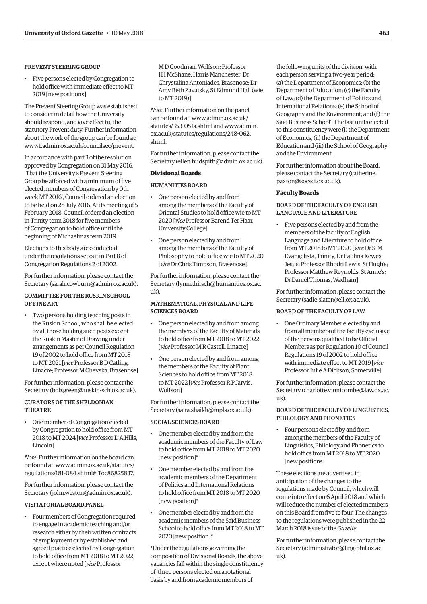# PREVENT STEERING GROUP

• Five persons elected by Congregation to hold office with immediate effect to MT 2019 [new positions]

The Prevent Steering Group was established to consider in detail how the University should respond, and give efect to, the statutory Prevent duty. Further information about the work of the group can be found at: www1.admin.ox.ac.uk/councilsec/prevent.

In accordance with part 3 of the resolution approved by Congregation on 31 May 2016, 'That the University's Prevent Steering Group be aforced with a minimum of fve elected members of Congregation by 0th week MT 2016', Council ordered an election to be held on 28 July 2016. At its meeting of 5 February 2018, Council ordered an election in Trinity term 2018 for fve members of Congregation to hold office until the beginning of Michaelmas term 2019.

Elections to this body are conducted under the regulations set out in Part 8 of Congregation Regulations 2 of 2002.

For further information, please contact the Secretary [\(sarah.cowburn@admin.ox.ac.uk\).](mailto:sarah.cowburn@admin.ox.ac.uk) 

# COMMITTEE FOR THE RUSKIN SCHOOL OF FINE ART

• Two persons holding teaching posts in the Ruskin School, who shall be elected by all those holding such posts except the Ruskin Master of Drawing under arrangements as per Council Regulation 19 of 2002 to hold office from MT 2018 to MT 2021 [*vice* Professor B D Catling, Linacre; Professor M Chevska, Brasenose]

For further information, please contact the Secretary ([bob.green@ruskin-sch.ox.ac.uk\).](mailto:bob.green@ruskin-sch.ox.ac.uk) 

# CURATORS OF THE SHELDONIAN **THEATRE**

• One member of Congregation elected by Congregation to hold office from MT 2018 to MT 2024 [*vice* Professor D A Hills, Lincoln]

*Note*: Further information on the board can [be found at: www.admin.ox.ac.uk/statutes/](www.admin.ox.ac.uk/statutes/regulations/181-084.shtml#_Toc86825837)  regulations/181-084.shtml#\_Toc86825837.

For further information, please contact the Secretary ([john.weston@admin.ox.ac.uk\).](mailto:john.weston@admin.ox.ac.uk) 

# VISITATORIAL BOARD PANEL

• Four members of Congregation required to engage in academic teaching and/or research either by their written contracts of employment or by established and agreed practice elected by Congregation to hold office from MT 2018 to MT 2022. except where noted [*vice* Professor

M D Goodman, Wolfson; Professor H I McShane, Harris Manchester; Dr Chrystalina Antoniades, Brasenose; Dr Amy Beth Zavatsky, St Edmund Hall (wie to MT 2019)]

*Note*: Further information on the panel can be found a[t: www.admin.ox.ac.uk/](www.admin.ox.ac.uk/statutes/353-051a.shtml)  statutes/353-051a.shtml a[nd www.admin.](www.admin.ox.ac.uk/statutes/regulations/248-062.shtml)  ox.ac.uk/statutes/regulations/248-062. shtml.

For further information, please contact the Secretary ([ellen.hudspith@admin.ox.ac.uk\).](mailto:ellen.hudspith@admin.ox.ac.uk) 

# **Divisional Boards**

# HUMANITIES BOARD

- One person elected by and from among the members of the Faculty of Oriental Studies to hold office wie to MT 2020 [*vice* Professor Barend Ter Haar, University College]
- One person elected by and from among the members of the Faculty of Philosophy to hold office wie to MT 2020 [*vice* Dr Chris Timpson, Brasenose]

For further information, please contact the Secretary ([lynne.hirsch@humanities.ox.ac.](mailto:lynne.hirsch@humanities.ox.ac.uk)  [uk\).](mailto:lynne.hirsch@humanities.ox.ac.uk) 

# MATHEMATICAL, PHYSICAL AND LIFE SCIENCES BOARD

- One person elected by and from among the members of the Faculty of Materials to hold office from  $MT 2018$  to  $MT 2022$ . [*vice* Professor M R Castell, Linacre]
- One person elected by and from among the members of the Faculty of Plant Sciences to hold office from MT 2018 to MT 2022 [*vice* Professor R P Jarvis, Wolfson]

For further information, please contact the Secretary ([saira.shaikh@mpls.ox.ac.uk\).](mailto:saira.shaikh@mpls.ox.ac.uk) 

#### SOCIAL SCIENCES BOARD

- One member elected by and from the academic members of the Faculty of Law to hold office from MT 2018 to MT 2020 [new position]\*
- One member elected by and from the academic members of the Department of Politics and International Relations to hold office from MT 2018 to MT 2020 [new position]\*
- One member elected by and from the academic members of the Saïd Business School to hold office from MT 2018 to MT 2020 [new position]\*

\*Under the regulations governing the composition of Divisional Boards, the above vacancies fall within the single constituency of 'three persons elected on a rotational basis by and from academic members of

the following units of the division, with each person serving a two-year period: (a) the Department of Economics; (b) the Department of Education; (c) the Faculty of Law; (d) the Department of Politics and International Relations; (e) the School of Geography and the Environment; and (f) the Saïd Business School'. The last units elected to this constituency were (i) the Department of Economics, (ii) the Department of Education and (iii) the School of Geography and the Environment.

For further information about the Board, [please contact the Secretary \(catherine.](mailto:catherine.paxton@socsci.ox.ac.uk)  paxton@socsci.ox.ac.uk).

# **Faculty Boards**

# BOARD OF THE FACULTY OF ENGLISH LANGUAGE AND LITERATURE

• Five persons elected by and from the members of the faculty of English Language and Literature to hold office from MT 2018 to MT 2020 [*vice* Dr S-M Evangelista, Trinity; Dr Paulina Kewes, Jesus; Professor Rhodri Lewis, St Hugh's; Professor Matthew Reynolds, St Anne's; Dr Daniel Thomas, Wadham]

For further information, please contact the Secretary ([sadie.slater@ell.ox.ac.uk\).](mailto:sadie.slater@ell.ox.ac.uk) 

# BOARD OF THE FACULTY OF LAW

• One Ordinary Member elected by and from all members of the faculty exclusive of the persons qualified to be Official Members as per Regulation 10 of Council Regulations 19 of 2002 to hold office with immediate efect to MT 2019 [*vice*  Professor Julie A Dickson, Somerville]

For further information, please contact the Secretary (charlotte.vinnicombe@law.ox.ac.  $11\overline{k}$ 

# BOARD OF THE FACULTY OF LINGUISTICS, PHILOLOGY AND PHONETICS

• Four persons elected by and from among the members of the Faculty of Linguistics, Philology and Phonetics to hold office from MT 2018 to MT 2020 [new positions]

These elections are advertised in anticipation of the changes to the regulations made by Council, which will come into efect on 6 April 2018 and which will reduce the number of elected members on this Board from fve to four. The changes to the regulations were published in the 22 March 2018 issue of the *Gazette*.

For further information, please contact the Secretary ([administrator@ling-phil.ox.ac.](mailto:administrator@ling-phil.ox.ac.uk)   $11k$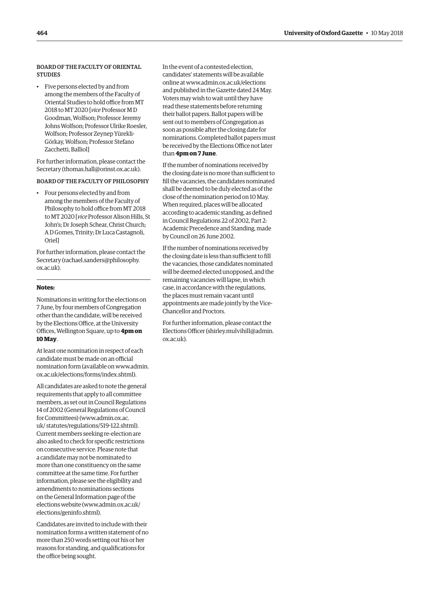# BOARD OF THE FACULTY OF ORIENTAL **STUDIES**

• Five persons elected by and from among the members of the Faculty of Oriental Studies to hold office from MT 2018 to MT 2020 [*vice* Professor M D Goodman, Wolfson; Professor Jeremy Johns Wolfson; Professor Ulrike Roesler, Wolfson; Professor Zeynep Yürekli-Görkay, Wolfson; Professor Stefano Zacchetti, Balliol]

For further information, please contact the Secretary [\(thomas.hall@orinst.ox.ac.uk\).](mailto:thomas.hall@orinst.ox.ac.uk) 

## BOARD OF THE FACULTY OF PHILOSOPHY

• Four persons elected by and from among the members of the Faculty of Philosophy to hold office from MT 2018 to MT 2020 [*vice* Professor Alison Hills, St John's; Dr Joseph Schear, Christ Church; A D Gomes, Trinity; Dr Luca Castagnoli, Oriel]

For further information, please contact the Secretary [\(rachael.sanders@philosophy.](mailto:rachael.sanders@philosophy.ox.ac.uk)  [ox.ac.uk\).](mailto:rachael.sanders@philosophy.ox.ac.uk) 

# **Notes:**

Nominations in writing for the elections on 7 June, by four members of Congregation other than the candidate, will be received by the Elections Office, at the University Offices, Wellington Square, up to **4pm on 10 May**.

At least one nomination in respect of each candidate must be made on an official [nomination form \(available on www.admin.](www.admin.ox.ac.uk/elections/forms/index.shtml)  ox.ac.uk/elections/forms/index.shtml).

All candidates are asked to note the general requirements that apply to all committee members, as set out in Council Regulations 14 of 2002 (General Regulations of Council for Committees) [\(www.admin.ox.ac.](http://www.admin.ox.ac.uk/statutes/regulations/519-122.shtml)  [uk/ statutes/regulations/519-122.shtml\).](http://www.admin.ox.ac.uk/statutes/regulations/519-122.shtml)  Current members seeking re-election are also asked to check for specific restrictions on consecutive service. Please note that a candidate may not be nominated to more than one constituency on the same committee at the same time. For further information, please see the eligibility and amendments to nominations sections on the General Information page of the elections website [\(www.admin.ox.ac.uk/](http://www.admin.ox.ac.uk/elections/geninfo.shtml)  [elections/geninfo.shtml\).](http://www.admin.ox.ac.uk/elections/geninfo.shtml) 

Candidates are invited to include with their nomination forms a written statement of no more than 250 words setting out his or her reasons for standing, and qualifcations for the office being sought.

In the event of a contested election, candidates' statements will be available online at [www.admin.ox.ac.uk/elections](http://www.admin.ox.ac.uk/elections)  and published in the Gazette dated 24 May. Voters may wish to wait until they have read these statements before returning their ballot papers. Ballot papers will be sent out to members of Congregation as soon as possible after the closing date for nominations. Completed ballot papers must be received by the Elections Office not later than **4pm on 7 June**.

If the number of nominations received by the closing date is no more than sufficient to fll the vacancies, the candidates nominated shall be deemed to be duly elected as of the close of the nomination period on 10 May. When required, places will be allocated according to academic standing, as defned in Council Regulations 22 of 2002, Part 2: Academic Precedence and Standing, made by Council on 26 June 2002.

If the number of nominations received by the closing date is less than sufficient to fill the vacancies, those candidates nominated will be deemed elected unopposed, and the remaining vacancies will lapse, in which case, in accordance with the regulations, the places must remain vacant until appointments are made jointly by the Vice-Chancellor and Proctors.

For further information, please contact the Elections Officer (shirley.mulvihill@admin. [ox.ac.uk\).](mailto:shirley.mulvihill@admin.ox.ac.uk)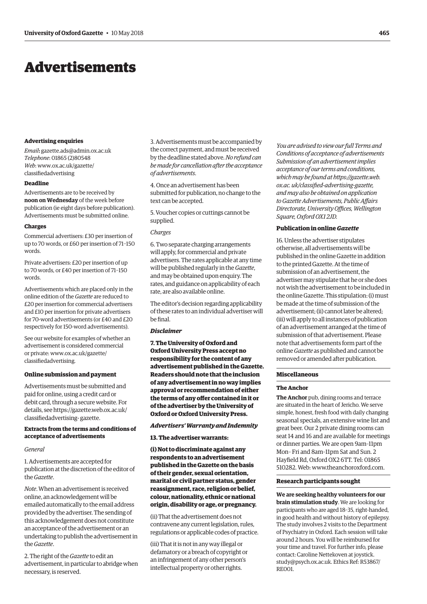# <span id="page-12-0"></span>Advertisements

#### **Advertising enquiries**

*Email***:** [gazette.ads@admin.ox.ac.uk](mailto:gazette.ads@admin.ox.ac.uk)  *Telephone*: 01865 (2)80548 *Web*[: www.ox.ac.uk/gazette/](https://gazette.web.ox.ac.uk/classifiedadvertising-gazette)  classifedadvertising

# **Deadline**

Advertisements are to be received by **noon on Wednesday** of the week before publication (ie eight days before publication). Advertisements must be submitted online.

#### **Charges**

Commercial advertisers: £30 per insertion of up to 70 words, or £60 per insertion of 71–150 words.

Private advertisers: £20 per insertion of up to 70 words, or £40 per insertion of 71–150 words.

Advertisements which are placed only in the online edition of the *Gazette* are reduced to £20 per insertion for commercial advertisers and £10 per insertion for private advertisers for 70-word advertisements (or £40 and £20 respectively for 150-word advertisements).

See our website for examples of whether an advertisement is considered commercial [or private: www.ox.ac.uk/gazette/](https://gazette.web.ox.ac.uk/classifiedadvertising-gazette)  classifedadvertising.

#### **Online submission and payment**

Advertisements must be submitted and paid for online, using a credit card or debit card, through a secure website. For [details, see https://gazette.web.ox.ac.uk/](https://gazette.web.ox.ac.uk/classifiedadvertising-gazette)  classifedadvertising- gazette.

## **Extracts from the terms and conditions of acceptance of advertisements**

#### *General*

1. Advertisements are accepted for publication at the discretion of the editor of the *Gazette*.

*Note*. When an advertisement is received online, an acknowledgement will be emailed automatically to the email address provided by the advertiser. The sending of this acknowledgement does not constitute an acceptance of the advertisement or an undertaking to publish the advertisement in the *Gazette*.

2. The right of the *Gazette* to edit an advertisement, in particular to abridge when necessary, is reserved.

3. Advertisements must be accompanied by the correct payment, and must be received by the deadline stated above. *No refund can be made for cancellation after the acceptance of advertisements*.

4. Once an advertisement has been submitted for publication, no change to the text can be accepted.

5. Voucher copies or cuttings cannot be supplied.

#### *Charges*

6. Two separate charging arrangements will apply, for commercial and private advertisers. The rates applicable at any time will be published regularly in the *Gazette*, and may be obtained upon enquiry. The rates, and guidance on applicability of each rate, are also available online.

The editor's decision regarding applicability of these rates to an individual advertiser will be fnal.

# *Disclaimer*

**7. The University of Oxford and Oxford University Press accept no responsibility for the content of any advertisement published in the Gazette. Readers should note that the inclusion of any advertisement in no way implies approval or recommendation of either the terms of any ofer contained in it or of the advertiser by the University of Oxford or Oxford University Press.** 

#### *Advertisers' Warranty and Indemnity*

#### **13. The advertiser warrants:**

**(i) Not to discriminate against any respondents to an advertisement published in the Gazette on the basis of their gender, sexual orientation, marital or civil partner status, gender reassignment, race, religion or belief, colour, nationality, ethnic or national origin, disability or age, or pregnancy.** 

(ii) That the advertisement does not contravene any current legislation, rules, regulations or applicable codes of practice.

(iii) That it is not in any way illegal or defamatory or a breach of copyright or an infringement of any other person's intellectual property or other rights.

*You are advised to view our full Terms and Conditions of acceptance of advertisements Submission of an advertisement implies acceptance of our terms and conditions, [which may be found at https://gazette.web.](https://gazette.web.ox.ac.uk/classifiedadvertising-gazette)  ox.ac. uk/classifed-advertising-gazette, and may also be obtained on application to Gazette Advertisements, Public Afairs Directorate, University Offces, Wellington Square, Oxford OX1 2JD.* 

#### **Publication in online** *Gazette*

16. Unless the advertiser stipulates otherwise, all advertisements will be published in the online Gazette in addition to the printed Gazette. At the time of submission of an advertisement, the advertiser may stipulate that he or she does not wish the advertisement to be included in the online Gazette. This stipulation: (i) must be made at the time of submission of the advertisement; (ii) cannot later be altered; (iii) will apply to all instances of publication of an advertisement arranged at the time of submission of that advertisement. Please note that advertisements form part of the online *Gazette* as published and cannot be removed or amended after publication.

#### **Miscellaneous**

#### **The Anchor**

**The Anchor** pub, dining rooms and terrace are situated in the heart of Jericho. We serve simple, honest, fresh food with daily changing seasonal specials, an extensive wine list and great beer. Our 2 private dining rooms can seat 14 and 16 and are available for meetings or dinner parties. We are open 9am–11pm Mon– Fri and 8am–11pm Sat and Sun. 2 Hayfeld Rd, Oxford OX2 6TT. Tel: 01865 510282. Web: [www.theanchoroxford.com.](http://www.theanchoroxford.com) 

#### **Research participants sought**

**We are seeking healthy volunteers for our brain stimulation study**. We are looking for participants who are aged 18–35, right-handed, in good health and without history of epilepsy. The study involves 2 visits to the Department of Psychiatry in Oxford. Each session will take around 2 hours. You will be reimbursed for your time and travel. For further info, please contact: Caroline Nettekoven at joystick. [study@psych.ox.ac.uk. Ethics Ref: R53867/](mailto:joystick.study@psych.ox.ac.uk)  RE001.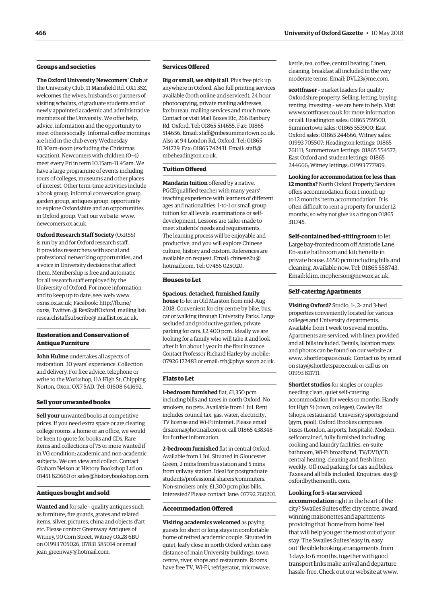# **Groups and societies**

**The Oxford University Newcomers' Club** at the University Club, 11 Mansfield Rd, OX1 3SZ, welcomes the wives, husbands or partners of visiting scholars, of graduate students and of newly appointed academic and administrative members of the University. We offer help, advice, information and the opportunity to meet others socially. Informal coffee mornings are held in the club every Wednesday 10.30am–noon (excluding the Christmas vacation). Newcomers with children (0–4) meet every Fri in term 10.15am–11.45am. We have a large programme of events including tours of colleges, museums and other places of interest. Other term-time activities include a book group, informal conversation group, garden group, antiques group, opportunity to explore Oxfordshire and an opportunities in Oxford group. Visit our website: [www.](http://www.newcomers.ox.ac.uk)  [newcomers.ox.ac.uk.](http://www.newcomers.ox.ac.uk) 

**Oxford Research Staff Society** (OxRSS) is run by and for Oxford research staff. It provides researchers with social and professional networking opportunities, and a voice in University decisions that affect them. Membership is free and automatic for all research staff employed by the University of Oxford. For more information and to keep up to date, see: web: [www.](http://www.oxrss.ox.ac.uk)  [oxrss.ox.ac.uk; Fa](http://www.oxrss.ox.ac.uk)ceboo[k: http://fb.me/](http://fb.me/oxrss)  oxrss; Twitter: @ ResStaffOxford; mailing list: [researchstaffsubscribe@ maillist.ox.ac.uk.](mailto:researchstaffsubscribe@maillist.ox.ac.uk) 

# **Restoration and Conservation of Antique Furniture**

**John Hulme** undertakes all aspects of restoration. 30 years' experience. Collection and delivery. For free advice, telephone or write to the Workshop, 11A High St, Chipping Norton, Oxon, OX7 5AD. Tel: 01608 641692.

#### **Sell your unwanted books**

**Sell your** unwanted books at competitive prices. If you need extra space or are clearing college rooms, a home or an office, we would be keen to quote for books and CDs. Rare items and collections of 75 or more wanted if in VG condition; academic and non-academic subjects. We can view and collect. Contact Graham Nelson at History Bookshop Ltd on 01451 821660 or [sales@historybookshop.com.](mailto:sales@historybookshop.com) 

#### **Antiques bought and sold**

**Wanted and** for sale – quality antiques such as furniture, fire guards, grates and related items, silver, pictures, china and objects d'art etc. Please contact Greenway Antiques of Witney, 90 Corn Street, Witney OX28 6BU on 01993 705026, 07831 585014 or email [jean\\_greenway@hotmail.com.](mailto:jean_greenway@hotmail.com) 

# **Services Ofered**

**Big or small, we ship it all**. Plus free pick up anywhere in Oxford. Also full printing services available (both online and serviced), 24 hour photocopying, private mailing addresses, fax bureau, mailing services and much more. Contact or visit Mail Boxes Etc, 266 Banbury Rd, Oxford. Tel: 01865 514655. Fax: 01865 514656. Email: [staff@mbesummertown.co.uk.](mailto:staff@mbesummertown.co.uk)  Also at 94 London Rd, Oxford. Tel: 01865 [741729. Fax: 01865 742431. Email: staff@](mailto:staff@mbeheadington.co.uk)  mbeheadington.co.uk.

#### **Tuition Ofered**

**Mandarin tuition** offered by a native, PGCEqualified teacher with many years' teaching experience with learners of different ages and nationalities. 1-to-1 or small group tuition for all levels, examinations or selfdevelopment. Lessons are tailor-made to meet students' needs and requirements. The learning process will be enjoyable and productive, and you will explore Chinese culture, history and custom. References are [available on request. Email: chinese2u@](mailto:chinese2u@hotmail.com)  hotmail.com. Tel: 07456 025020.

# **Houses to Let**

**Spacious, detached, furnished family house** to let in Old Marston from mid-Aug 2018. Convenient for city centre by bike, bus, car or walking through University Parks. Large secluded and productive garden, private parking for cars. £2,400 pcm. Ideally we are looking for a family who will take it and look after it for about 1 year in the first instance. Contact Professor Richard Harley by mobile: 07926 172483 or email: [rth@phys.soton.ac.uk.](mailto:rth@phys.soton.ac.uk) 

#### **Flats to Let**

**1-bedroom furnished** flat, £1,350 pcm including bills and taxes in north Oxford. No smokers, no pets. Available from 1 Jul. Rent includes council tax, gas, water, electricity, TV license and Wi-Fi internet. Please email [drsaxena@hotmail.com or](mailto:drsaxena@hotmail.com) call 01865 438348 for further information.

**2-bedroom furnished** flat in central Oxford. Available from 1 Jul. Situated in Gloucester Green, 2 mins from bus station and 5 mins from railway station. Ideal for postgraduate students/professional sharers/commuters. Non-smokers only. £1,300 pcm plus bills. Interested? Please contact Jane: 07792 760201.

#### **Accommodation Ofered**

**Visiting academics welcomed** as paying guests for short or long stays in comfortable home of retired academic couple. Situated in quiet, leafy close in north Oxford within easy distance of main University buildings, town centre, river, shops and restaurants. Rooms have free TV, Wi-Fi, refrigerator, microwave,

kettle, tea, coffee, central heating. Linen, cleaning, breakfast all included in the very moderate terms. Email: [DVL23@me.com.](mailto:DVL23@me.com) 

**scottfraser –** market leaders for quality Oxfordshire property. Selling, letting, buying, renting, investing – we are here to help. Visit [www.scottfraser.co.uk for](http://www.scottfraser.co.uk) more information or call: Headington sales: 01865 759500; Summertown sales: 01865 553900; East Oxford sales: 01865 244666; Witney sales: 01993 705507; Headington lettings: 01865 761111; Summertown lettings: 01865 554577; East Oxford and student lettings: 01865 244666; Witney lettings: 01993 777909.

**Looking for accommodation for less than 12 months?** North Oxford Property Services offers accommodation from 1 month up to 12 months 'term accommodation'. It is often difficult to rent a property for under 12 months, so why not give us a ring on 01865 311745.

**Self-contained bed-sitting room** to let. Large bay-fronted room off Aristotle Lane. En-suite bathroom and kitchenette in private house. £650 pcm including bills and cleaning. Available now. Tel: 01865 558743. Ema[il: klim. mcpherson@new.ox.ac.uk.](mailto:klim.mcpherson@new.ox.ac.uk) 

#### **Self-catering Apartments**

**Visiting Oxford?** Studio, 1-, 2- and 3-bed properties conveniently located for various colleges and University departments. Available from 1 week to several months. Apartments are serviced, with linen provided and all bills included. Details, location maps and photos can be found on our website at [www. shortletspace.co.uk. Co](http://www.shortletspace.co.uk)ntact us by email on [stay@shortletspace.co.uk or](mailto:stay@shortletspace.co.uk) call us on 01993 811711.

**Shortlet studios** for singles or couples needing clean, quiet self-catering accommodation for weeks or months. Handy for High St (town, colleges), Cowley Rd (shops, restaurants), University sportsground (gym, pool), Oxford Brookes campuses, buses (London, airports, hospitals). Modern, selfcontained, fully furnished including cooking and laundry facilities, en-suite bathroom, Wi-Fi broadband, TV/DVD/CD, central heating, cleaning and fresh linen weekly. Off-road parking for cars and bikes. [Taxes and all bills included. Enquiries: stay@](mailto:stay@oxfordbythemonth.com)  oxfordbythemonth. com.

#### **Looking for 5-star serviced**

**accommodation** right in the heart of the city? Swailes Suites offer city centre, award winning maisonettes and apartments providing that 'home from home' feel that will help you get the most out of your stay. The Swailes Suites 'easy in, easy out' fexible booking arrangements, from 3 days to 6 months, together with good transport links make arrival and departure hassle-free. Check out our website at www.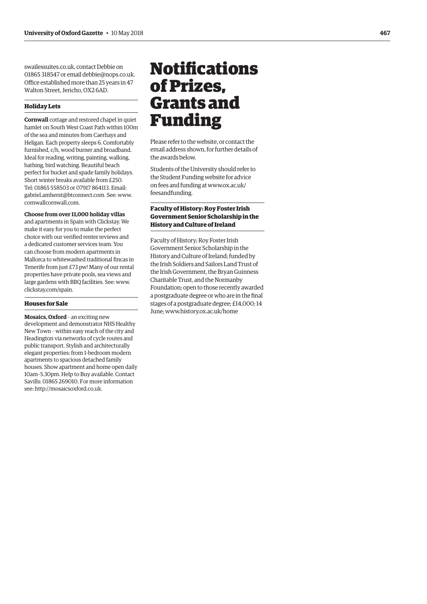<span id="page-14-0"></span>[swailessuites.co.uk, c](www.swailessuites.co.uk)ontact Debbie on 01865 318547 or email [debbie@nops.co.uk.](mailto:debbie@nops.co.uk)  Office established more than 25 years in 47 Walton Street, Jericho, OX2 6AD.

# **Holiday Lets**

**Cornwall** cottage and restored chapel in quiet hamlet on South West Coast Path within 100m of the sea and minutes from Caerhays and Heligan. Each property sleeps 6. Comfortably furnished, c/h, wood burner and broadband. Ideal for reading, writing, painting, walking, bathing, bird watching. Beautiful beach perfect for bucket and spade family holidays. Short winter breaks available from £250. Tel: 01865 558503 or 07917 864113. Email: [gabriel.amherst@btconnect.com. Se](mailto:gabriel.amherst@btconnect.com)e: [www.](http://www.cornwallcornwall.com)  [cornwallcornwall.com.](http://www.cornwallcornwall.com) 

#### **Choose from over 11,000 holiday villas**

and apartments in Spain with Clickstay. We make it easy for you to make the perfect choice with our verified renter reviews and a dedicated customer services team. You can choose from modern apartments in Mallorca to whitewashed traditional fincas in Tenerife from just £73 pw! Many of our rental properties have private pools, sea views and large gardens with BBQ facilities. See: [www.](http://www.clickstay.com/spain)  [clickstay.com/spain.](http://www.clickstay.com/spain) 

# **Houses for Sale**

**Mosaics, Oxford** – an exciting new development and demonstrator NHS Healthy New Town – within easy reach of the city and Headington via networks of cycle routes and public transport. Stylish and architecturally elegant properties: from 1-bedroom modern apartments to spacious detached family houses. Show apartment and home open daily 10am–5.30pm. Help to Buy available. Contact Savills: 01865 269010. For more information see: [http://mosaicsoxford.co.uk.](http://mosaicsoxford.co.uk) 

# **Notifications** of Prizes, Grants and Funding

Please refer to the website, or contact the email address shown, for further details of the awards below.

Students of the University should refer to the Student Funding website for advice [on fees and funding at www.ox.ac.uk/](www.ox.ac.uk/feesandfunding)  feesandfunding.

# **Faculty of History: Roy Foster Irish Government Senior Scholarship in the History and Culture of Ireland**

Faculty of History; Roy Foster Irish Government Senior Scholarship in the History and Culture of Ireland; funded by the Irish Soldiers and Sailors Land Trust of the Irish Government, the Bryan Guinness Charitable Trust, and the Normanby Foundation; open to those recently awarded a postgraduate degree or who are in the fnal stages of a postgraduate degree; £14,000; 14 June; [www.history.ox.ac.uk/home](http://www.history.ox.ac.uk/home)